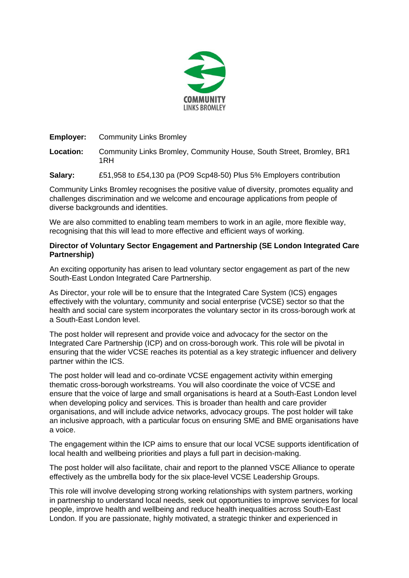

**Employer:** Community Links Bromley

**Location:** Community Links Bromley, Community House, South Street, Bromley, BR1 1RH

**Salary:** £51,958 to £54,130 pa (PO9 Scp48-50) Plus 5% Employers contribution

Community Links Bromley recognises the positive value of diversity, promotes equality and challenges discrimination and we welcome and encourage applications from people of diverse backgrounds and identities.

We are also committed to enabling team members to work in an agile, more flexible way, recognising that this will lead to more effective and efficient ways of working.

## **Director of Voluntary Sector Engagement and Partnership (SE London Integrated Care Partnership)**

An exciting opportunity has arisen to lead voluntary sector engagement as part of the new South-East London Integrated Care Partnership.

As Director, your role will be to ensure that the Integrated Care System (ICS) engages effectively with the voluntary, community and social enterprise (VCSE) sector so that the health and social care system incorporates the voluntary sector in its cross-borough work at a South-East London level.

The post holder will represent and provide voice and advocacy for the sector on the Integrated Care Partnership (ICP) and on cross-borough work. This role will be pivotal in ensuring that the wider VCSE reaches its potential as a key strategic influencer and delivery partner within the ICS.

The post holder will lead and co-ordinate VCSE engagement activity within emerging thematic cross-borough workstreams. You will also coordinate the voice of VCSE and ensure that the voice of large and small organisations is heard at a South-East London level when developing policy and services. This is broader than health and care provider organisations, and will include advice networks, advocacy groups. The post holder will take an inclusive approach, with a particular focus on ensuring SME and BME organisations have a voice.

The engagement within the ICP aims to ensure that our local VCSE supports identification of local health and wellbeing priorities and plays a full part in decision-making.

The post holder will also facilitate, chair and report to the planned VSCE Alliance to operate effectively as the umbrella body for the six place-level VCSE Leadership Groups.

This role will involve developing strong working relationships with system partners, working in partnership to understand local needs, seek out opportunities to improve services for local people, improve health and wellbeing and reduce health inequalities across South-East London. If you are passionate, highly motivated, a strategic thinker and experienced in